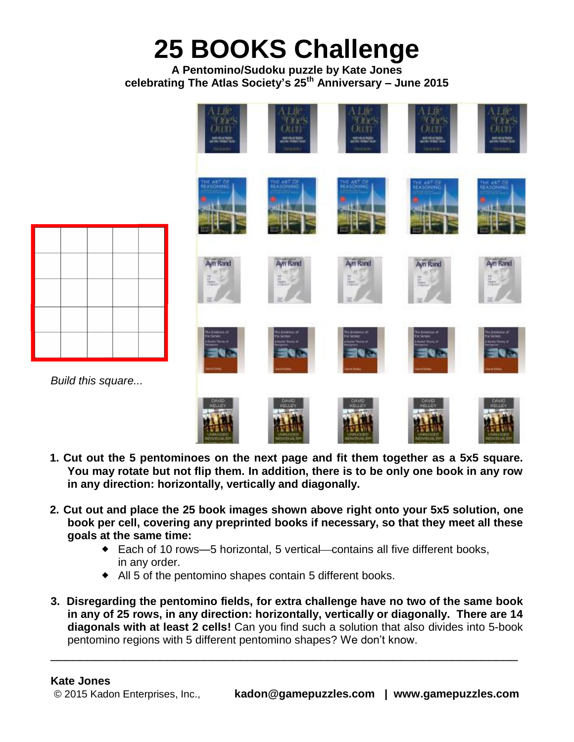## **25 BOOKS Challenge**

## **A Pentomino/Sudoku puzzle by Kate Jones celebrating The Atlas Society's 25th Anniversary – June 2015**





*Build this square...*



- **2. Cut out and place the 25 book images shown above right onto your 5x5 solution, one book per cell, covering any preprinted books if necessary, so that they meet all these goals at the same time:**
	- $\bullet$  Each of 10 rows—5 horizontal, 5 vertical—contains all five different books, in any order.
	- All 5 of the pentomino shapes contain 5 different books.
- **3. Disregarding the pentomino fields, for extra challenge have no two of the same book in any of 25 rows, in any direction: horizontally, vertically or diagonally. There are 14 diagonals with at least 2 cells!** Can you find such a solution that also divides into 5-book pentomino regions with 5 different pentomino shapes? We don't know. \_\_\_\_\_\_\_\_\_\_\_\_\_\_\_\_\_\_\_\_\_\_\_\_\_\_\_\_\_\_\_\_\_\_\_\_\_\_\_\_\_\_\_\_\_\_\_\_\_\_\_\_\_\_\_\_\_\_\_\_\_\_\_\_